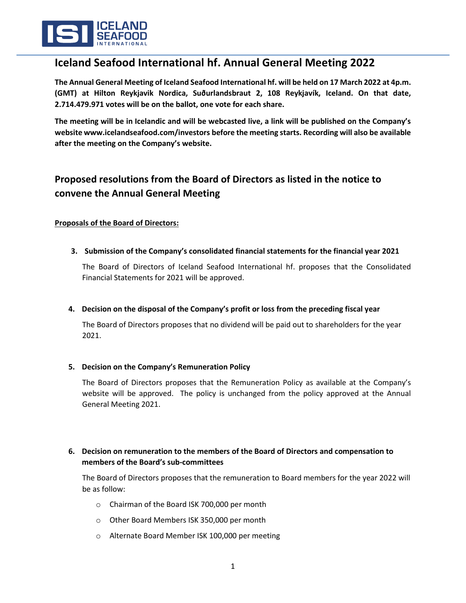

# **Iceland Seafood International hf. Annual General Meeting 2022**

**The Annual General Meeting of Iceland Seafood International hf. will be held on 17 March 2022 at 4p.m. (GMT) at Hilton Reykjavik Nordica, Suðurlandsbraut 2, 108 Reykjavík, Iceland. On that date, 2.714.479.971 votes will be on the ballot, one vote for each share.**

**The meeting will be in Icelandic and will be webcasted live, a link will be published on the Company's websit[e www.icelandseafood.com/investors](http://www.icelandseafood.com/investors) before the meeting starts. Recording will also be available after the meeting on the Company's website.** 

## **Proposed resolutions from the Board of Directors as listed in the notice to convene the Annual General Meeting**

### **Proposals of the Board of Directors:**

**3. Submission of the Company's consolidated financial statements for the financial year 2021**

The Board of Directors of Iceland Seafood International hf. proposes that the Consolidated Financial Statements for 2021 will be approved.

**4. Decision on the disposal of the Company's profit or loss from the preceding fiscal year**

The Board of Directors proposes that no dividend will be paid out to shareholders for the year 2021.

## **5. Decision on the Company's Remuneration Policy**

The Board of Directors proposes that the Remuneration Policy as available at the Company's website will be approved. The policy is unchanged from the policy approved at the Annual General Meeting 2021.

## **6. Decision on remuneration to the members of the Board of Directors and compensation to members of the Board's sub-committees**

The Board of Directors proposes that the remuneration to Board members for the year 2022 will be as follow:

- o Chairman of the Board ISK 700,000 per month
- o Other Board Members ISK 350,000 per month
- o Alternate Board Member ISK 100,000 per meeting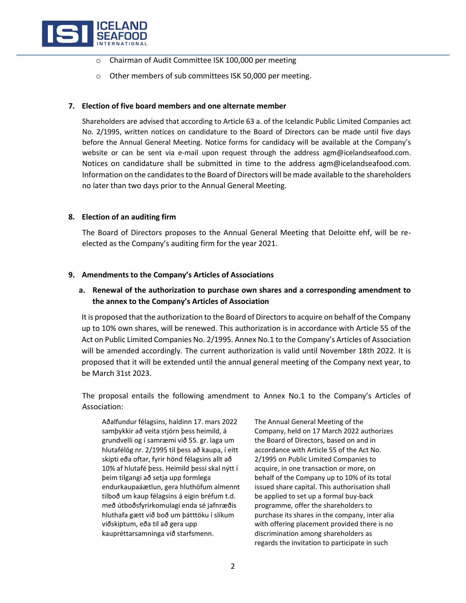

- o Chairman of Audit Committee ISK 100,000 per meeting
- o Other members of sub committees ISK 50,000 per meeting.

#### **7. Election of five board members and one alternate member**

Shareholders are advised that according to Article 63 a. of the Icelandic Public Limited Companies act No. 2/1995, written notices on candidature to the Board of Directors can be made until five days before the Annual General Meeting. Notice forms for candidacy will be available at the Company's website or can be sent via e-mail upon request through the address agm@icelandseafood.com. Notices on candidature shall be submitted in time to the address agm@icelandseafood.com. Information on the candidates to the Board of Directors will be made available to the shareholders no later than two days prior to the Annual General Meeting.

#### **8. Election of an auditing firm**

The Board of Directors proposes to the Annual General Meeting that Deloitte ehf, will be reelected as the Company's auditing firm for the year 2021.

#### **9. Amendments to the Company's Articles of Associations**

## **a. Renewal of the authorization to purchase own shares and a corresponding amendment to the annex to the Company's Articles of Association**

It is proposed that the authorization to the Board of Directors to acquire on behalf of the Company up to 10% own shares, will be renewed. This authorization is in accordance with Article 55 of the Act on Public Limited Companies No. 2/1995. Annex No.1 to the Company's Articles of Association will be amended accordingly. The current authorization is valid until November 18th 2022. It is proposed that it will be extended until the annual general meeting of the Company next year, to be March 31st 2023.

The proposal entails the following amendment to Annex No.1 to the Company's Articles of Association:

Aðalfundur félagsins, haldinn 17. mars 2022 samþykkir að veita stjórn þess heimild, á grundvelli og í samræmi við 55. gr. laga um hlutafélög nr. 2/1995 til þess að kaupa, í eitt skipti eða oftar, fyrir hönd félagsins allt að 10% af hlutafé þess. Heimild þessi skal nýtt í þeim tilgangi að setja upp formlega endurkaupaáætlun, gera hluthöfum almennt tilboð um kaup félagsins á eigin bréfum t.d. með útboðsfyrirkomulagi enda sé jafnræðis hluthafa gætt við boð um þátttöku í slíkum viðskiptum, eða til að gera upp kaupréttarsamninga við starfsmenn.

The Annual General Meeting of the Company, held on 17 March 2022 authorizes the Board of Directors, based on and in accordance with Article 55 of the Act No. 2/1995 on Public Limited Companies to acquire, in one transaction or more, on behalf of the Company up to 10% of its total issued share capital. This authorisation shall be applied to set up a formal buy-back programme, offer the shareholders to purchase its shares in the company, inter alia with offering placement provided there is no discrimination among shareholders as regards the invitation to participate in such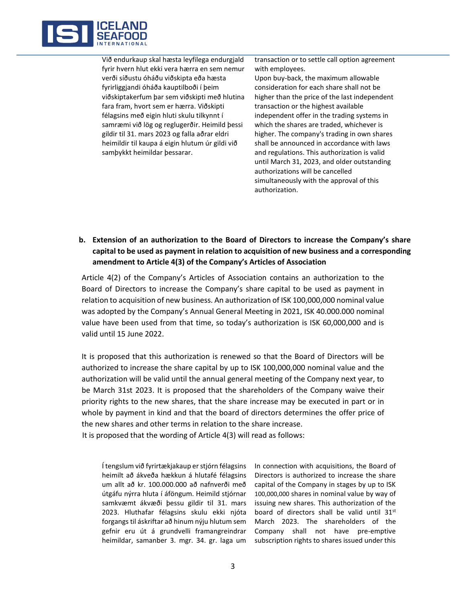

Við endurkaup skal hæsta leyfilega endurgjald fyrir hvern hlut ekki vera hærra en sem nemur verði síðustu óháðu viðskipta eða hæsta fyrirliggjandi óháða kauptilboði í þeim viðskiptakerfum þar sem viðskipti með hlutina fara fram, hvort sem er hærra. Viðskipti félagsins með eigin hluti skulu tilkynnt í samræmi við lög og reglugerðir. Heimild þessi gildir til 31. mars 2023 og falla aðrar eldri heimildir til kaupa á eigin hlutum úr gildi við samþykkt heimildar þessarar.

transaction or to settle call option agreement with employees.

Upon buy-back, the maximum allowable consideration for each share shall not be higher than the price of the last independent transaction or the highest available independent offer in the trading systems in which the shares are traded, whichever is higher. The company's trading in own shares shall be announced in accordance with laws and regulations. This authorization is valid until March 31, 2023, and older outstanding authorizations will be cancelled simultaneously with the approval of this authorization.

## **b. Extension of an authorization to the Board of Directors to increase the Company's share capital to be used as payment in relation to acquisition of new business and a corresponding amendment to Article 4(3) of the Company's Articles of Association**

Article 4(2) of the Company's Articles of Association contains an authorization to the Board of Directors to increase the Company's share capital to be used as payment in relation to acquisition of new business. An authorization of ISK 100,000,000 nominal value was adopted by the Company's Annual General Meeting in 2021, ISK 40.000.000 nominal value have been used from that time, so today's authorization is ISK 60,000,000 and is valid until 15 June 2022.

It is proposed that this authorization is renewed so that the Board of Directors will be authorized to increase the share capital by up to ISK 100,000,000 nominal value and the authorization will be valid until the annual general meeting of the Company next year, to be March 31st 2023. It is proposed that the shareholders of the Company waive their priority rights to the new shares, that the share increase may be executed in part or in whole by payment in kind and that the board of directors determines the offer price of the new shares and other terms in relation to the share increase.

It is proposed that the wording of Article 4(3) will read as follows:

Í tengslum við fyrirtækjakaup er stjórn félagsins heimilt að ákveða hækkun á hlutafé félagsins um allt að kr. 100.000.000 að nafnverði með útgáfu nýrra hluta í áföngum. Heimild stjórnar samkvæmt ákvæði þessu gildir til 31. mars 2023. Hluthafar félagsins skulu ekki njóta forgangs til áskriftar að hinum nýju hlutum sem gefnir eru út á grundvelli framangreindrar heimildar, samanber 3. mgr. 34. gr. laga um In connection with acquisitions, the Board of Directors is authorized to increase the share capital of the Company in stages by up to ISK 100,000,000 shares in nominal value by way of issuing new shares. This authorization of the board of directors shall be valid until 31<sup>st</sup> March 2023. The shareholders of the Company shall not have pre-emptive subscription rights to shares issued under this